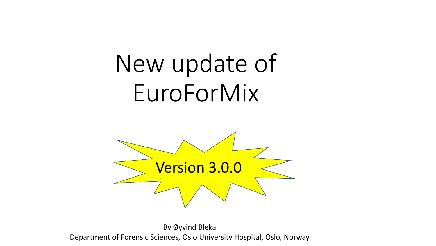# New update of EuroForMix



By Øyvind Bleka Department of Forensic Sciences, Oslo University Hospital, Oslo, Norway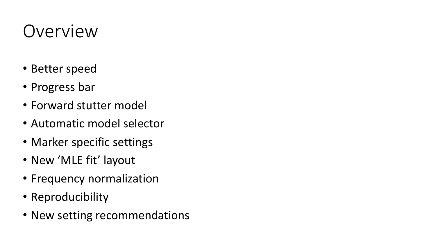### Overview

- Better speed
- Progress bar
- Forward stutter model
- Automatic model selector
- Marker specific settings
- New 'MLE fit' layout
- Frequency normalization
- Reproducibility
- New setting recommendations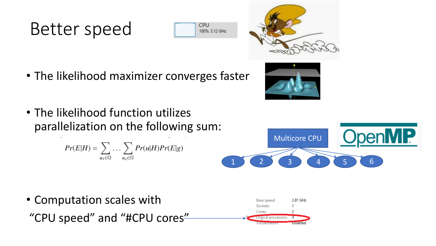#### Better speed





- The likelihood maximizer converges faster
- The likelihood function utilizes parallelization on the following sum:

 $Pr(E|H) = \sum_{u_1 \in \mathbb{G}} \dots \sum_{u_x \in \mathbb{G}} Pr(u|H)Pr(E|g)$ 



Multicore CPU 1 2 3 4 5 6

• Computation scales with 2.81 GHz Base speed: Sockets: Cores "CPU speed" and "#CPU cores" prsable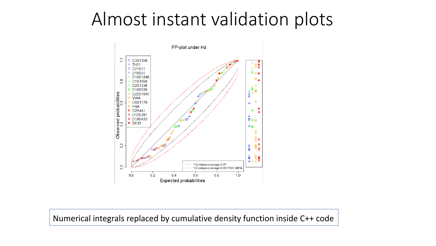#### Almost instant validation plots



Numerical integrals replaced by cumulative density function inside C++ code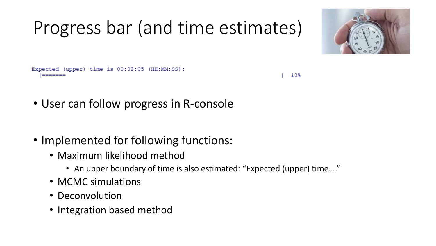# Progress bar (and time estimates)



Expected (upper) time is 00:02:05 (HH:MM:SS):

 $10<sub>8</sub>$ 

- User can follow progress in R-console
- Implemented for following functions:
	- Maximum likelihood method
		- An upper boundary of time is also estimated: "Expected (upper) time...."
	- MCMC simulations
	- Deconvolution
	- Integration based method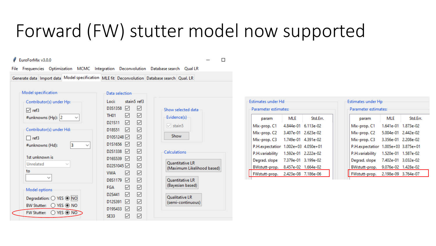#### Forward (FW) stutter model now supported

#### Ø EuroForMix v3.0.0

 $\Box$ 

File Frequencies Optimization MCMC Integration Deconvolution Database search Qual LR

stain5 ref3

☑ ☑

 $\overline{\smile}$ 

 $\overline{\smile}$ 

 $\overline{\smile}$ 

 $\overline{\smile}$ 

 $\overline{\smile}$ 

 $\overline{\smile}$  $\overline{\smile}$ 

 $\overline{\smile}$ 

☑  $\overline{\smile}$ 

 $\overline{\smile}$ 

 $\overline{\smile}$ 

☑

☑

Generate data Import data Model specification MLE fit Deconvolution Database search Qual. LR

| Model specification                             | Data selection          |
|-------------------------------------------------|-------------------------|
| Contributor(s) under Hp:                        | Loci:<br>stai           |
| $\sqrt{ }$ ref3                                 | D3S1358<br>✓            |
| #unknowns (Hp): 2                               | <b>TH01</b><br>✓        |
|                                                 | ▽<br>D21S11             |
| Contributor(s) under Hd:                        | D18S51<br>☑             |
| ref3                                            | D10S1248                |
| 3<br>#unknowns (Hd):<br>$\check{ }$             | D1S1656<br>⋈            |
|                                                 | D2S1338<br>⋈            |
| 1st unknown is                                  | D16S539<br>⋈            |
| Unrelated                                       | D22S1045                |
| to                                              | <b>WWA</b><br>✓         |
|                                                 | D8S1179<br>☑            |
| Model options                                   | ✓<br><b>FGA</b>         |
|                                                 | ✓<br>D2S441             |
| Degradation: ○ YES ● NO                         | D12S391<br>$\checkmark$ |
| $\bigcirc$ yes $\circledcirc$ no<br>BW Stutter: | D19S433<br>⋈            |
| $\bigcirc$ YES $\circledcirc$ NO<br>FW Stutter: | <b>SE33</b><br>✓        |

| Show selected data |  |
|--------------------|--|
| Evidence(s)        |  |
| $\vee$ stain5      |  |
| Show               |  |

| Quantitative LR<br>(Maximum Likelihood based) |  |
|-----------------------------------------------|--|
| Quantitative LR<br>(Bayesian based)           |  |
| Qualitative LR<br>(semi-continuous)           |  |

| Estimates under Hd   |                     |                       |
|----------------------|---------------------|-----------------------|
| Parameter estimates: |                     |                       |
| param                | <b>MLE</b>          | Std.Frr.              |
| Mix-prop. C1         | 4.844e-01 6.113e-02 |                       |
| Mix-prop. C2         | 3.407e-01 2.623e-02 |                       |
| Mix-prop. C3         | 1.749e-01 4.391e-02 |                       |
| P.H.expectation      |                     | $1.002e+03$ 4.050e+01 |
| P.H.variability      | 1.592e-01 2.222e-02 |                       |
| Degrad, slope        | 7.379e-01 3.199e-02 |                       |
| BWstutt-prop.        | 8.457e-02 1.664e-02 |                       |
| FWstutt-prop.        | 2.423e-08 7.186e-06 |                       |
|                      |                     |                       |

| Estimates under Hp<br>Parameter estimates: |                       |           |
|--------------------------------------------|-----------------------|-----------|
| param                                      | MLE                   | Std.Err.  |
| Mix-prop. C1                               | 1.641e-01 1.873e-02   |           |
| Mix-prop. C2                               | 5.004e-01 2.442e-02   |           |
| Mix-prop. C3                               | 3.356e-01 2.208e-02   |           |
| P.H.expectation                            | $1.005e+03$ 3.875e+01 |           |
| P.H.variability                            | 1.520e-01 1.587e-02   |           |
| Degrad, slope                              | 7.402e-01 3.032e-02   |           |
| BWstutt-prop.                              | 9.076e-02 1.428e-02   |           |
| FWstutt-prop.                              | 2.198e-09             | 3.764e-07 |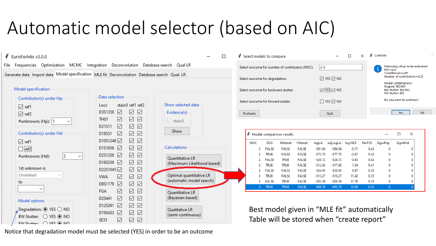# Automatic model selector (based on AIC)

| EuroForMix v3.0.0                                                                            |                                                                                                                            | $\Box$                                                 | Select models to compare                                                                                                          | $\Box$                                                                                                | Confirm                                                                            |
|----------------------------------------------------------------------------------------------|----------------------------------------------------------------------------------------------------------------------------|--------------------------------------------------------|-----------------------------------------------------------------------------------------------------------------------------------|-------------------------------------------------------------------------------------------------------|------------------------------------------------------------------------------------|
| File Frequencies Optimization MCMC Integration Deconvolution Database search Qual LR         |                                                                                                                            |                                                        | Select outcome for number of contributors (NOC):                                                                                  | $ 2-3 $                                                                                               | Following setup to be evaluated:<br>POI=ref2                                       |
| Generate data Import data Model specification MLE fit Deconvolution Database search Qual. LR |                                                                                                                            |                                                        | Select outcome for degradation:                                                                                                   | $\boxtimes$ YES $\boxtimes$ NO                                                                        | Conditionals=ref1<br>Number of contributors={2.3}                                  |
| Model specification                                                                          |                                                                                                                            |                                                        | Select outcome for backward stutter:                                                                                              | ⊠ YES ⊠ NO                                                                                            | Model combinations:<br>Degrad: YES/NO<br>BW stutter: YES/NO                        |
| Contributor(s) under Hp:                                                                     | Data selection                                                                                                             |                                                        | Select outcome for forward stutter:                                                                                               | $\Box$ YES $\Box$ NO                                                                                  | FW stutter: NO<br>Do you want to continue?                                         |
| $\Box$ ref1<br>$\boxed{\smile}$ ref2<br>#unknowns (Hp): 1<br>$\checkmark$                    | stain5 ref1 ref2<br>Loci:<br>☑<br>☑<br>☑<br>D3S1358<br>✓<br>☑<br>☑<br><b>TH01</b>                                          | Show selected data<br>Evidence(s)<br>$\sqrt{ }$ stain5 | Evaluate                                                                                                                          | Quit                                                                                                  | <b>No</b><br>Yes                                                                   |
| Contributor(s) under Hd:                                                                     | ☑<br>✓<br>☑<br>D21S11<br>$\overline{\smile}$<br>☑<br>☑<br>D18S51<br>☑<br>$\overline{\smile}$<br>D10S1248 2                 | Show                                                   | Model comparison results                                                                                                          |                                                                                                       | $\times$<br>$\Box$                                                                 |
| $\boxed{\triangle}$ ref1<br>$\Box$ ref2                                                      | D1S1656 2<br>☑<br>$\checkmark$                                                                                             | <b>Calculations</b>                                    | <b>NOC</b><br>DEG<br><b>BWstutt</b><br><b>FWstutt</b><br><b>FALSE</b><br><b>FALSE</b><br><b>FALSE</b>                             | log10LR<br>MxPOI<br>logLik<br>adjLogLik<br>$-581.04$<br>$-584.04$<br>$-5.71$                          | SignifHd<br>SignifHp<br>0.43<br>$\Omega$<br>0                                      |
| 12<br>#unknowns (Hd):<br>$\check{ }$                                                         | $\triangledown$<br>D2S1338 2<br>☑<br>☑<br>D16S539 <b>☑</b><br>☑                                                            | Quantitative LR<br>(Maximum Likelihood based)          | <b>TRUE</b><br><b>FALSE</b><br><b>FALSE</b><br><b>FALSE</b><br><b>TRUE</b><br><b>FALSE</b>                                        | $-573.75$<br>$-577.75$<br>$-2.67$<br>$-520.72$<br>$-524.72$<br>$-0.63$                                | 0.42<br>$\mathbf 0$<br>0<br>$\mathbf 0$<br> 0 <br>0.42                             |
| 1st unknown is<br>Unrelated                                                                  | $\overline{\smile}$<br>✓<br>D22S1045                                                                                       | Optimal quantitative LR                                | <b>TRUE</b><br><b>TRUE</b><br><b>FALSE</b><br><b>FALSE</b><br><b>FALSE</b><br><b>FALSE</b>                                        | $-512.45$<br>$-517.45$<br>1.34<br>$-524.93$<br>$-528.93$<br>9.87                                      | $\mathbf 0$<br>0<br>0.41<br>$\mathbf 0$<br>0<br>0.35                               |
| to<br>$\checkmark$                                                                           | ☑<br>$\triangledown$<br>☑<br><b>VWA</b><br>☑<br>$\overline{\smile}$<br>$\overline{\smile}$<br>D8S1179                      | (automatic model search)                               | <b>TRUE</b><br><b>FALSE</b><br><b>FALSE</b><br><b>FALSE</b><br><b>TRUE</b><br><b>FALSE</b><br>3<br><b>TRUE</b><br>FALSE<br>3 TRUE | $-513.27$<br>$-518.27$<br>11.42<br>$-503.39$<br>$-508.39$<br>11.76<br>$-486.78$<br>$-492.78$<br>13.08 | $\bf{0}$<br>$\Omega$<br>0.35<br>$\mathbf 0$<br>0.35<br>0<br>0.33<br>$\overline{0}$ |
| Model options                                                                                | ☑<br>✓<br>☑<br>FGA<br>☑<br>☑<br>☑<br>D2S441                                                                                | Quantitative LR<br>(Bayesian based)                    |                                                                                                                                   |                                                                                                       |                                                                                    |
| Degradation: ◉ YES ◯ NO<br>BW Stutter: ○ YES ● NO<br>FW Stutter: C VFS @ NO                  | $\checkmark$<br>☑<br>☑<br>D12S391<br>☑<br>✓<br>$\checkmark$<br>D19S433<br>☑<br>$\checkmark$<br>$\checkmark$<br><b>SE33</b> | <b>Qualitative LR</b><br>(semi-continuous)             | Best model given in "MLE fit" automatically<br>Table will be stored when "create report"                                          |                                                                                                       |                                                                                    |

 $\times$ 

Notice that degradation model must be selected (YES) in order to be an outcome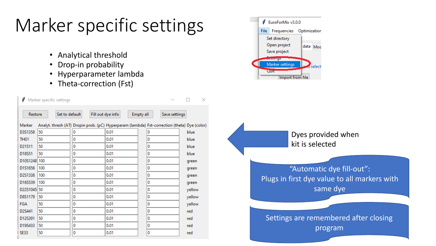# Marker specific settings

- Analytical threshold
- Drop-in probability
- Hyperparameter lambda
- Theta-correction (Fst)

|             | Marker specific settings |   |                                                                                              |               | ×      |
|-------------|--------------------------|---|----------------------------------------------------------------------------------------------|---------------|--------|
| Restore     | Set to default           |   | Fill out dye info<br>Empty all                                                               | Save settings |        |
| Marker      |                          |   | Analyt. thresh (AT) Dropin prob. (pC) Hyperparam (lambda) Fst-correction (theta) Dye (color) |               |        |
| D3S1358     | 50                       | 0 | 0.01                                                                                         | 0             | blue   |
| <b>TH01</b> | 50                       | 0 | 0.01                                                                                         | 0             | blue   |
| D21S11      | 50                       | 0 | 0.01                                                                                         | 0             | blue   |
| D18S51      | 50                       | 0 | 0.01                                                                                         | 0             | blue   |
| D10S1248    | 100                      | 0 | 0.01                                                                                         | 0             | green  |
| D1S1656     | 100                      | 0 | 0.01                                                                                         | 0             | green  |
| D2S1338     | 100                      | 0 | 0.01                                                                                         | 0             | green  |
| D16S539     | 100                      | 0 | 0.01                                                                                         | 0             | green  |
| D22S1045 50 |                          | 0 | 0.01                                                                                         | 0             | yellow |
| D8S1179     | 50                       | 0 | 0.01                                                                                         | 0             | yellow |
| <b>FGA</b>  | 50                       | 0 | 0.01                                                                                         | 0             | yellow |
| D2S441      | 50                       | 0 | 0.01                                                                                         | 0             | red    |
| D12S391     | 50                       | 0 | 0.01                                                                                         | 0             | red    |
| D19S433     | 50                       | 0 | 0.01                                                                                         | 0             | red    |
| <b>SE33</b> | 50                       | 0 | 0.01                                                                                         | 0             | red    |



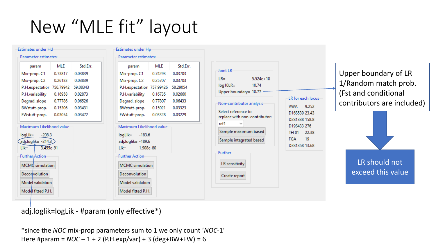### New "MLE fit" layout

| Estimates under Hd                                                                                                                                                                             |         |          |
|------------------------------------------------------------------------------------------------------------------------------------------------------------------------------------------------|---------|----------|
| Parameter estimates:                                                                                                                                                                           |         |          |
| param                                                                                                                                                                                          | MI F    | Std.Frr. |
| Mix-prop. C1                                                                                                                                                                                   | 0.73817 | 0.03839  |
| Mix-prop. C2                                                                                                                                                                                   | 0.26183 | 0.03839  |
| P.H.expectation 756.79942                                                                                                                                                                      |         | 59.08343 |
| P.H.variability 0.16958                                                                                                                                                                        |         | 0.02873  |
| Degrad. slope 0.77786                                                                                                                                                                          |         | 0.06526  |
| BWstutt-prop. 0.15306                                                                                                                                                                          |         | 0.03431  |
| FWstutt-prop.                                                                                                                                                                                  | 0.03054 | 0.03472  |
| Maximum Likelihood value<br>logLik= -208.3<br>$adj.loglik = -214.3$<br>3.455e-91<br>Lik=<br><b>Further</b> Action<br>MCMC simulation<br>Deconvolution<br>Model validation<br>Model fitted P.H. |         |          |

| Mix-prop. C1<br>0.74293                                                                                                                                                                                               |          |                                                                                               |
|-----------------------------------------------------------------------------------------------------------------------------------------------------------------------------------------------------------------------|----------|-----------------------------------------------------------------------------------------------|
|                                                                                                                                                                                                                       | 0.03703  | Joint LR                                                                                      |
| Mix-prop. C2<br>0.25707                                                                                                                                                                                               | 0.03703  | $5.524e+10$<br>$LR =$                                                                         |
| P.H.expectation 757.99426                                                                                                                                                                                             | 58.29054 | $log10LR =$<br>10.74                                                                          |
| 0.16735<br>P.H.variability                                                                                                                                                                                            | 0.02660  | Upper boundary= 10.77                                                                         |
| 0.77807<br>Degrad, slope                                                                                                                                                                                              | 0.06433  | Non-contributor analysis-                                                                     |
| BWstutt-prop.<br>0.15021                                                                                                                                                                                              | 0.03323  |                                                                                               |
| FWstutt-prop.<br>0.03328                                                                                                                                                                                              | 0.03229  | Select reference to<br>replace with non-contributor:                                          |
| Maximum Likelihood value<br>$loglik =$<br>$-183.6$<br>adj.loglik= -189.6<br>1.908e-80<br>$Like =$<br><b>Further Action</b><br><b>MCMC</b> simulation<br><b>Deconvolution</b><br>Model validation<br>Model fitted P.H. |          | Sample maximum based<br>Sample integrated based<br>Further<br>LR sensitivity<br>Create report |

Upper boundary of LR 1/Random match prob. (Fst and conditional contributors are included)



adj.loglik=logLik - #param (only effective\*)

\*since the *NOC* mix-prop parameters sum to 1 we only count '*NOC*-1' Here #param =  $NOC - 1 + 2$  (P.H.exp/var) + 3 (deg+BW+FW) = 6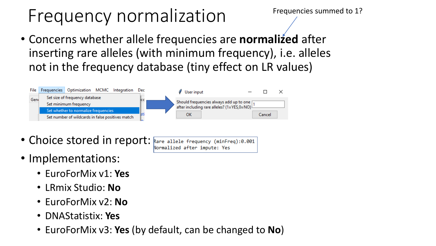### Frequency normalization

Frequencies summed to 1?

• Concerns whether allele frequencies are **normalized** after inserting rare alleles (with minimum frequency), i.e. alleles not in the frequency database (tiny effect on LR values)



- Choice stored in report: Rare allele frequency (minFreq):0.001 Normalized after impute: Yes
- Implementations:
	- EuroForMix v1: **Yes**
	- LRmix Studio: **No**
	- EuroForMix v2: **No**
	- DNAStatistix: **Yes**
	- EuroForMix v3: **Yes** (by default, can be changed to **No**)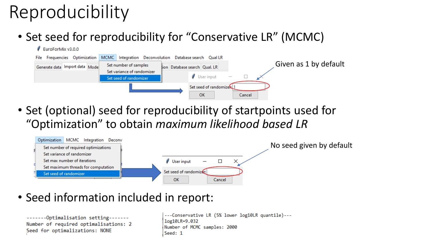# Reproducibility

• Set seed for reproducibility for "Conservative LR" (MCMC)



• Set (optional) seed for reproducibility of startpoints used for "Optimization" to obtain *maximum likelihood based LR*



• Seed information included in report:

```
-------Optimalisation setting-------
Number of required optimalisations: 2
Seed for optimalizations: NONE
```
---Conservative LR (5% lower log10LR quantile)--log10LR=9.032 Number of MCMC samples: 2000 Seed: 1